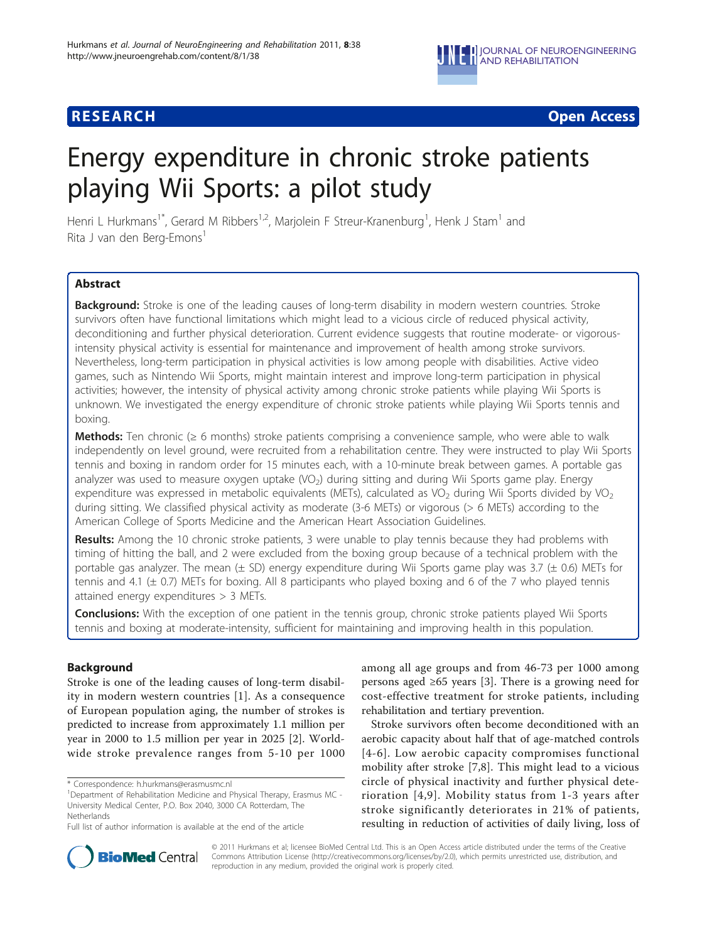



# Energy expenditure in chronic stroke patients playing Wii Sports: a pilot study

Henri L Hurkmans<sup>1\*</sup>, Gerard M Ribbers<sup>1,2</sup>, Marjolein F Streur-Kranenburg<sup>1</sup>, Henk J Stam<sup>1</sup> and Rita J van den Berg-Emons<sup>1</sup>

# Abstract

Background: Stroke is one of the leading causes of long-term disability in modern western countries. Stroke survivors often have functional limitations which might lead to a vicious circle of reduced physical activity, deconditioning and further physical deterioration. Current evidence suggests that routine moderate- or vigorousintensity physical activity is essential for maintenance and improvement of health among stroke survivors. Nevertheless, long-term participation in physical activities is low among people with disabilities. Active video games, such as Nintendo Wii Sports, might maintain interest and improve long-term participation in physical activities; however, the intensity of physical activity among chronic stroke patients while playing Wii Sports is unknown. We investigated the energy expenditure of chronic stroke patients while playing Wii Sports tennis and boxing.

**Methods:** Ten chronic ( $\geq 6$  months) stroke patients comprising a convenience sample, who were able to walk independently on level ground, were recruited from a rehabilitation centre. They were instructed to play Wii Sports tennis and boxing in random order for 15 minutes each, with a 10-minute break between games. A portable gas analyzer was used to measure oxygen uptake  $(VO<sub>2</sub>)$  during sitting and during Wii Sports game play. Energy expenditure was expressed in metabolic equivalents (METs), calculated as VO<sub>2</sub> during Wii Sports divided by VO<sub>2</sub> during sitting. We classified physical activity as moderate (3-6 METs) or vigorous (> 6 METs) according to the American College of Sports Medicine and the American Heart Association Guidelines.

**Results:** Among the 10 chronic stroke patients, 3 were unable to play tennis because they had problems with timing of hitting the ball, and 2 were excluded from the boxing group because of a technical problem with the portable gas analyzer. The mean  $(\pm$  SD) energy expenditure during Wii Sports game play was 3.7  $(\pm$  0.6) METs for tennis and 4.1 (± 0.7) METs for boxing. All 8 participants who played boxing and 6 of the 7 who played tennis attained energy expenditures > 3 METs.

**Conclusions:** With the exception of one patient in the tennis group, chronic stroke patients played Wii Sports tennis and boxing at moderate-intensity, sufficient for maintaining and improving health in this population.

# Background

Stroke is one of the leading causes of long-term disability in modern western countries [\[1\]](#page-5-0). As a consequence of European population aging, the number of strokes is predicted to increase from approximately 1.1 million per year in 2000 to 1.5 million per year in 2025 [[2](#page-5-0)]. Worldwide stroke prevalence ranges from 5-10 per 1000

\* Correspondence: [h.hurkmans@erasmusmc.nl](mailto:h.hurkmans@erasmusmc.nl)

among all age groups and from 46-73 per 1000 among persons aged ≥65 years [\[3](#page-5-0)]. There is a growing need for cost-effective treatment for stroke patients, including rehabilitation and tertiary prevention.

Stroke survivors often become deconditioned with an aerobic capacity about half that of age-matched controls [[4-6\]](#page-5-0). Low aerobic capacity compromises functional mobility after stroke [[7,8](#page-5-0)]. This might lead to a vicious circle of physical inactivity and further physical deterioration [[4](#page-5-0),[9](#page-5-0)]. Mobility status from 1-3 years after stroke significantly deteriorates in 21% of patients, resulting in reduction of activities of daily living, loss of



© 2011 Hurkmans et al; licensee BioMed Central Ltd. This is an Open Access article distributed under the terms of the Creative Commons Attribution License [\(http://creativecommons.org/licenses/by/2.0](http://creativecommons.org/licenses/by/2.0)), which permits unrestricted use, distribution, and reproduction in any medium, provided the original work is properly cited.

<sup>&</sup>lt;sup>1</sup>Department of Rehabilitation Medicine and Physical Therapy, Erasmus MC -University Medical Center, P.O. Box 2040, 3000 CA Rotterdam, The Netherlands

Full list of author information is available at the end of the article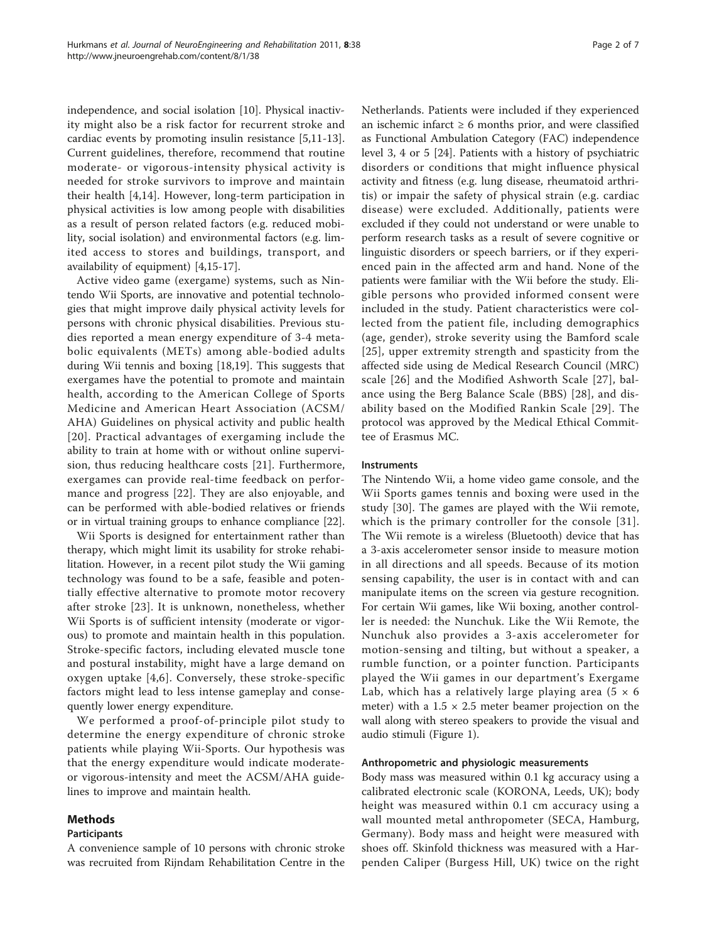independence, and social isolation [[10\]](#page-5-0). Physical inactivity might also be a risk factor for recurrent stroke and cardiac events by promoting insulin resistance [[5,11-13](#page-5-0)]. Current guidelines, therefore, recommend that routine moderate- or vigorous-intensity physical activity is needed for stroke survivors to improve and maintain their health [[4,14](#page-5-0)]. However, long-term participation in physical activities is low among people with disabilities as a result of person related factors (e.g. reduced mobility, social isolation) and environmental factors (e.g. limited access to stores and buildings, transport, and availability of equipment) [\[4,15-17](#page-5-0)].

Active video game (exergame) systems, such as Nintendo Wii Sports, are innovative and potential technologies that might improve daily physical activity levels for persons with chronic physical disabilities. Previous studies reported a mean energy expenditure of 3-4 metabolic equivalents (METs) among able-bodied adults during Wii tennis and boxing [[18](#page-5-0),[19](#page-5-0)]. This suggests that exergames have the potential to promote and maintain health, according to the American College of Sports Medicine and American Heart Association (ACSM/ AHA) Guidelines on physical activity and public health [[20\]](#page-5-0). Practical advantages of exergaming include the ability to train at home with or without online supervision, thus reducing healthcare costs [[21\]](#page-5-0). Furthermore, exergames can provide real-time feedback on performance and progress [[22](#page-5-0)]. They are also enjoyable, and can be performed with able-bodied relatives or friends or in virtual training groups to enhance compliance [[22](#page-5-0)].

Wii Sports is designed for entertainment rather than therapy, which might limit its usability for stroke rehabilitation. However, in a recent pilot study the Wii gaming technology was found to be a safe, feasible and potentially effective alternative to promote motor recovery after stroke [\[23\]](#page-5-0). It is unknown, nonetheless, whether Wii Sports is of sufficient intensity (moderate or vigorous) to promote and maintain health in this population. Stroke-specific factors, including elevated muscle tone and postural instability, might have a large demand on oxygen uptake [[4,6](#page-5-0)]. Conversely, these stroke-specific factors might lead to less intense gameplay and consequently lower energy expenditure.

We performed a proof-of-principle pilot study to determine the energy expenditure of chronic stroke patients while playing Wii-Sports. Our hypothesis was that the energy expenditure would indicate moderateor vigorous-intensity and meet the ACSM/AHA guidelines to improve and maintain health.

# Methods

#### **Participants**

A convenience sample of 10 persons with chronic stroke was recruited from Rijndam Rehabilitation Centre in the Netherlands. Patients were included if they experienced an ischemic infarct  $\geq 6$  months prior, and were classified as Functional Ambulation Category (FAC) independence level 3, 4 or 5 [[24](#page-5-0)]. Patients with a history of psychiatric disorders or conditions that might influence physical activity and fitness (e.g. lung disease, rheumatoid arthritis) or impair the safety of physical strain (e.g. cardiac disease) were excluded. Additionally, patients were excluded if they could not understand or were unable to perform research tasks as a result of severe cognitive or linguistic disorders or speech barriers, or if they experienced pain in the affected arm and hand. None of the patients were familiar with the Wii before the study. Eligible persons who provided informed consent were included in the study. Patient characteristics were collected from the patient file, including demographics (age, gender), stroke severity using the Bamford scale [[25](#page-5-0)], upper extremity strength and spasticity from the affected side using de Medical Research Council (MRC) scale [\[26\]](#page-5-0) and the Modified Ashworth Scale [[27\]](#page-5-0), balance using the Berg Balance Scale (BBS) [[28\]](#page-5-0), and disability based on the Modified Rankin Scale [[29](#page-5-0)]. The protocol was approved by the Medical Ethical Committee of Erasmus MC.

## **Instruments**

The Nintendo Wii, a home video game console, and the Wii Sports games tennis and boxing were used in the study [[30](#page-5-0)]. The games are played with the Wii remote, which is the primary controller for the console [\[31\]](#page-5-0). The Wii remote is a wireless (Bluetooth) device that has a 3-axis accelerometer sensor inside to measure motion in all directions and all speeds. Because of its motion sensing capability, the user is in contact with and can manipulate items on the screen via gesture recognition. For certain Wii games, like Wii boxing, another controller is needed: the Nunchuk. Like the Wii Remote, the Nunchuk also provides a 3-axis accelerometer for motion-sensing and tilting, but without a speaker, a rumble function, or a pointer function. Participants played the Wii games in our department's Exergame Lab, which has a relatively large playing area  $(5 \times 6)$ meter) with a  $1.5 \times 2.5$  meter beamer projection on the wall along with stereo speakers to provide the visual and audio stimuli (Figure [1\)](#page-2-0).

### Anthropometric and physiologic measurements

Body mass was measured within 0.1 kg accuracy using a calibrated electronic scale (KORONA, Leeds, UK); body height was measured within 0.1 cm accuracy using a wall mounted metal anthropometer (SECA, Hamburg, Germany). Body mass and height were measured with shoes off. Skinfold thickness was measured with a Harpenden Caliper (Burgess Hill, UK) twice on the right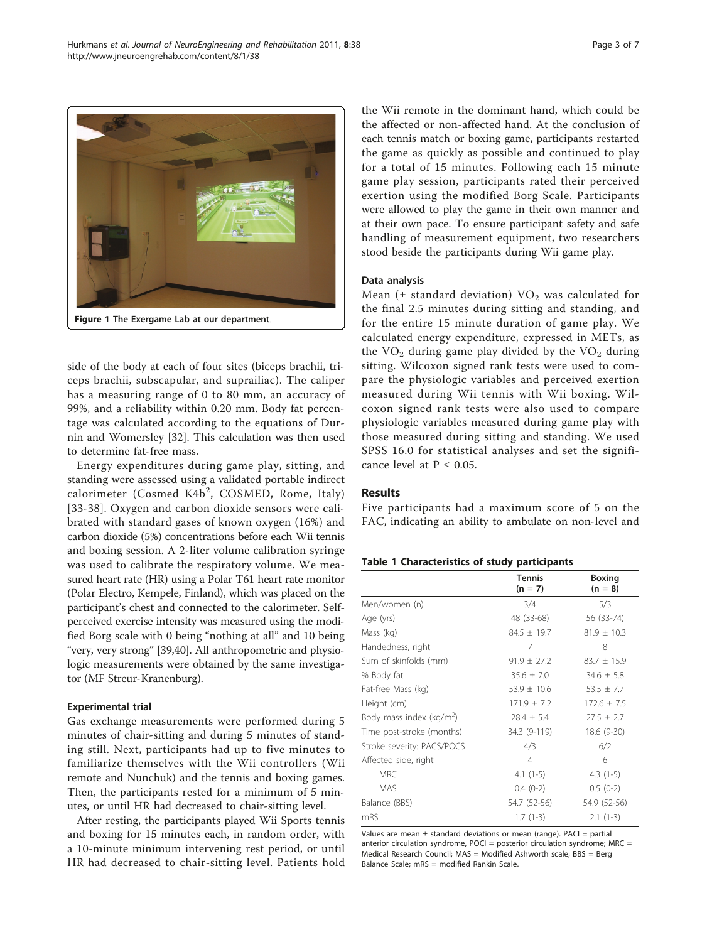side of the body at each of four sites (biceps brachii, triceps brachii, subscapular, and suprailiac). The caliper has a measuring range of 0 to 80 mm, an accuracy of 99%, and a reliability within 0.20 mm. Body fat percentage was calculated according to the equations of Durnin and Womersley [[32](#page-5-0)]. This calculation was then used to determine fat-free mass.

Energy expenditures during game play, sitting, and standing were assessed using a validated portable indirect calorimeter (Cosmed K4b<sup>2</sup>, COSMED, Rome, Italy) [[33](#page-5-0)-[38](#page-6-0)]. Oxygen and carbon dioxide sensors were calibrated with standard gases of known oxygen (16%) and carbon dioxide (5%) concentrations before each Wii tennis and boxing session. A 2-liter volume calibration syringe was used to calibrate the respiratory volume. We measured heart rate (HR) using a Polar T61 heart rate monitor (Polar Electro, Kempele, Finland), which was placed on the participant's chest and connected to the calorimeter. Selfperceived exercise intensity was measured using the modified Borg scale with 0 being "nothing at all" and 10 being "very, very strong" [\[39,40](#page-6-0)]. All anthropometric and physiologic measurements were obtained by the same investigator (MF Streur-Kranenburg).

# Experimental trial

Gas exchange measurements were performed during 5 minutes of chair-sitting and during 5 minutes of standing still. Next, participants had up to five minutes to familiarize themselves with the Wii controllers (Wii remote and Nunchuk) and the tennis and boxing games. Then, the participants rested for a minimum of 5 minutes, or until HR had decreased to chair-sitting level.

After resting, the participants played Wii Sports tennis and boxing for 15 minutes each, in random order, with a 10-minute minimum intervening rest period, or until HR had decreased to chair-sitting level. Patients hold

the Wii remote in the dominant hand, which could be the affected or non-affected hand. At the conclusion of each tennis match or boxing game, participants restarted the game as quickly as possible and continued to play for a total of 15 minutes. Following each 15 minute game play session, participants rated their perceived exertion using the modified Borg Scale. Participants were allowed to play the game in their own manner and at their own pace. To ensure participant safety and safe handling of measurement equipment, two researchers stood beside the participants during Wii game play.

# Data analysis

Mean ( $\pm$  standard deviation) VO<sub>2</sub> was calculated for the final 2.5 minutes during sitting and standing, and for the entire 15 minute duration of game play. We calculated energy expenditure, expressed in METs, as the  $VO<sub>2</sub>$  during game play divided by the  $VO<sub>2</sub>$  during sitting. Wilcoxon signed rank tests were used to compare the physiologic variables and perceived exertion measured during Wii tennis with Wii boxing. Wilcoxon signed rank tests were also used to compare physiologic variables measured during game play with those measured during sitting and standing. We used SPSS 16.0 for statistical analyses and set the significance level at  $P \le 0.05$ .

# Results

Five participants had a maximum score of 5 on the FAC, indicating an ability to ambulate on non-level and

| Table 1 Characteristics of study participants |  |  |  |  |
|-----------------------------------------------|--|--|--|--|
|-----------------------------------------------|--|--|--|--|

|                                      | <b>Tennis</b><br>$(n = 7)$ | <b>Boxing</b><br>$(n = 8)$ |
|--------------------------------------|----------------------------|----------------------------|
| Men/women (n)                        | 3/4                        | 5/3                        |
| Age (yrs)                            | 48 (33-68)                 | 56 (33-74)                 |
| Mass (kg)                            | $84.5 \pm 19.7$            | $81.9 \pm 10.3$            |
| Handedness, right                    | 7                          | 8                          |
| Sum of skinfolds (mm)                | $91.9 \pm 27.2$            | $83.7 \pm 15.9$            |
| % Body fat                           | $35.6 \pm 7.0$             | $34.6 \pm 5.8$             |
| Fat-free Mass (kg)                   | $53.9 \pm 10.6$            | $53.5 \pm 7.7$             |
| Height (cm)                          | $171.9 \pm 7.2$            | $172.6 \pm 7.5$            |
| Body mass index (kg/m <sup>2</sup> ) | $28.4 \pm 5.4$             | $27.5 \pm 2.7$             |
| Time post-stroke (months)            | 34.3 (9-119)               | 18.6 (9-30)                |
| Stroke severity: PACS/POCS           | 4/3                        | 6/2                        |
| Affected side, right                 | 4                          | 6                          |
| <b>MRC</b>                           | $4.1(1-5)$                 | $4.3(1-5)$                 |
| <b>MAS</b>                           | $0.4(0-2)$                 | $0.5(0-2)$                 |
| Balance (BBS)                        | 54.7 (52-56)               | 54.9 (52-56)               |
| mRS                                  | $1.7(1-3)$                 | $2.1(1-3)$                 |

Values are mean  $\pm$  standard deviations or mean (range). PACI = partial anterior circulation syndrome, POCI = posterior circulation syndrome; MRC = Medical Research Council; MAS = Modified Ashworth scale; BBS = Berg Balance Scale; mRS = modified Rankin Scale.

<span id="page-2-0"></span>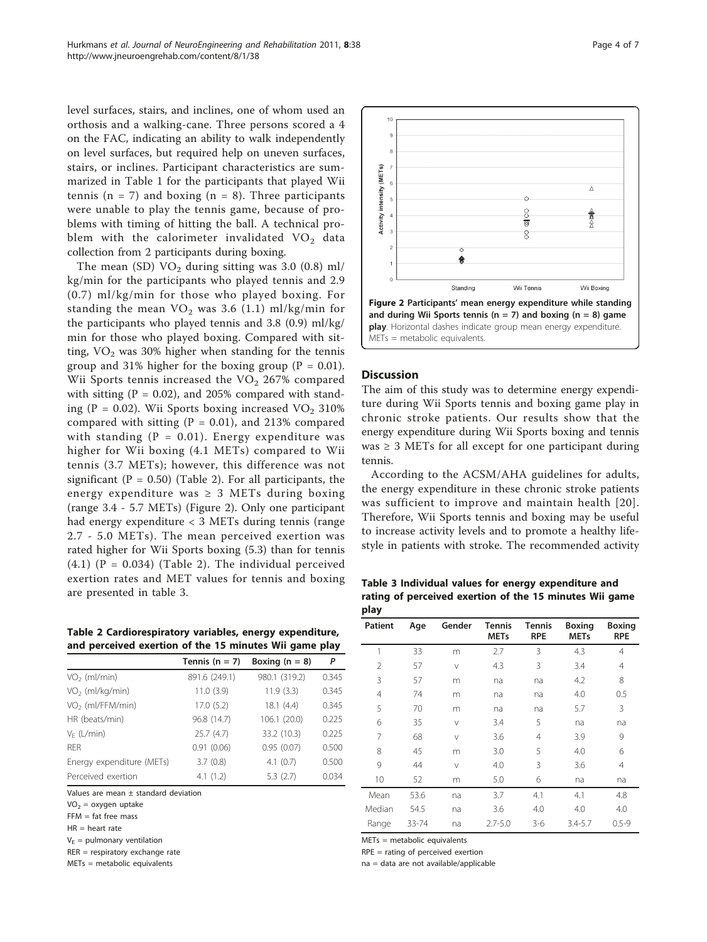level surfaces, stairs, and inclines, one of whom used an orthosis and a walking-cane. Three persons scored a 4 on the FAC, indicating an ability to walk independently on level surfaces, but required help on uneven surfaces, stairs, or inclines. Participant characteristics are summarized in Table [1](#page-2-0) for the participants that played Wii tennis ( $n = 7$ ) and boxing ( $n = 8$ ). Three participants were unable to play the tennis game, because of problems with timing of hitting the ball. A technical problem with the calorimeter invalidated  $VO<sub>2</sub>$  data collection from 2 participants during boxing.

The mean (SD)  $VO<sub>2</sub>$  during sitting was 3.0 (0.8) ml/ kg/min for the participants who played tennis and 2.9 (0.7) ml/kg/min for those who played boxing. For standing the mean  $VO<sub>2</sub>$  was 3.6 (1.1) ml/kg/min for the participants who played tennis and 3.8 (0.9) ml/kg/ min for those who played boxing. Compared with sitting,  $VO<sub>2</sub>$  was 30% higher when standing for the tennis group and 31% higher for the boxing group ( $P = 0.01$ ). Wii Sports tennis increased the  $VO<sub>2</sub>$  267% compared with sitting  $(P = 0.02)$ , and 205% compared with standing (P = 0.02). Wii Sports boxing increased  $VO<sub>2</sub> 310%$ compared with sitting  $(P = 0.01)$ , and 213% compared with standing  $(P = 0.01)$ . Energy expenditure was higher for Wii boxing (4.1 METs) compared to Wii tennis (3.7 METs); however, this difference was not significant ( $P = 0.50$ ) (Table 2). For all participants, the energy expenditure was  $\geq$  3 METs during boxing (range 3.4 - 5.7 METs) (Figure 2). Only one participant had energy expenditure < 3 METs during tennis (range 2.7 - 5.0 METs). The mean perceived exertion was rated higher for Wii Sports boxing (5.3) than for tennis  $(4.1)$  (P = 0.034) (Table 2). The individual perceived exertion rates and MET values for tennis and boxing are presented in table 3.

Table 2 Cardiorespiratory variables, energy expenditure, and perceived exertion of the 15 minutes Wii game play

|                              | Tennis $(n = 7)$ | Boxing $(n = 8)$ | P     |
|------------------------------|------------------|------------------|-------|
| $VO2$ (ml/min)               | 891.6 (249.1)    | 980.1 (319.2)    | 0.345 |
| VO <sub>2</sub> (ml/kg/min)  | 11.0(3.9)        | 11.9(3.3)        | 0.345 |
| VO <sub>2</sub> (ml/FFM/min) | 17.0(5.2)        | 18.1(4.4)        | 0.345 |
| HR (beats/min)               | 96.8 (14.7)      | 106.1 (20.0)     | 0.225 |
| $V_F$ (L/min)                | 25.7(4.7)        | 33.2 (10.3)      | 0.225 |
| <b>RFR</b>                   | 0.91(0.06)       | 0.95(0.07)       | 0.500 |
| Energy expenditure (METs)    | 3.7(0.8)         | 4.1(0.7)         | 0.500 |
| Perceived exertion           | 4.1(1.2)         | 5.3(2.7)         | 0.034 |

Values are mean ± standard deviation

 $VO<sub>2</sub> = oxygen uptake$ 

 $FFM = fat$  free mass

- $HR = heart$  rate
- $V_E$  = pulmonary ventilation

RER = respiratory exchange rate

METs = metabolic equivalents



# **Discussion**

The aim of this study was to determine energy expenditure during Wii Sports tennis and boxing game play in chronic stroke patients. Our results show that the energy expenditure during Wii Sports boxing and tennis was  $\geq$  3 METs for all except for one participant during tennis.

According to the ACSM/AHA guidelines for adults, the energy expenditure in these chronic stroke patients was sufficient to improve and maintain health [[20\]](#page-5-0). Therefore, Wii Sports tennis and boxing may be useful to increase activity levels and to promote a healthy lifestyle in patients with stroke. The recommended activity

Table 3 Individual values for energy expenditure and rating of perceived exertion of the 15 minutes Wii game play

| <b>Patient</b> | Age   | Gender | <b>Tennis</b><br><b>METs</b> | <b>Tennis</b><br><b>RPE</b> | <b>Boxing</b><br><b>METs</b> | Boxing<br><b>RPE</b> |
|----------------|-------|--------|------------------------------|-----------------------------|------------------------------|----------------------|
| 1              | 33    | m      | 2.7                          | 3                           | 4.3                          | 4                    |
| 2              | 57    | V      | 4.3                          | 3                           | 3.4                          | $\overline{4}$       |
| 3              | 57    | m      | na                           | na                          | 4.2                          | 8                    |
| $\overline{4}$ | 74    | m      | na                           | na                          | 4.0                          | 0.5                  |
| 5              | 70    | m      | na                           | na                          | 5.7                          | 3                    |
| 6              | 35    | V      | 3.4                          | 5                           | na                           | na                   |
| 7              | 68    | $\vee$ | 3.6                          | 4                           | 3.9                          | 9                    |
| 8              | 45    | m      | 3.0                          | 5                           | 4.0                          | 6                    |
| 9              | 44    | $\vee$ | 4.0                          | 3                           | 3.6                          | 4                    |
| 10             | 52    | m      | 5.0                          | 6                           | na                           | na                   |
| Mean           | 53.6  | na     | 3.7                          | 4.1                         | 4.1                          | 4.8                  |
| Median         | 54.5  | na     | 3.6                          | 4.0                         | 4.0                          | 4.0                  |
| Range          | 33-74 | na     | $2.7 - 5.0$                  | $3-6$                       | $3.4 - 5.7$                  | $0.5 - 9$            |

METs = metabolic equivalents

 $RPE =$  rating of perceived exertion

na = data are not available/applicable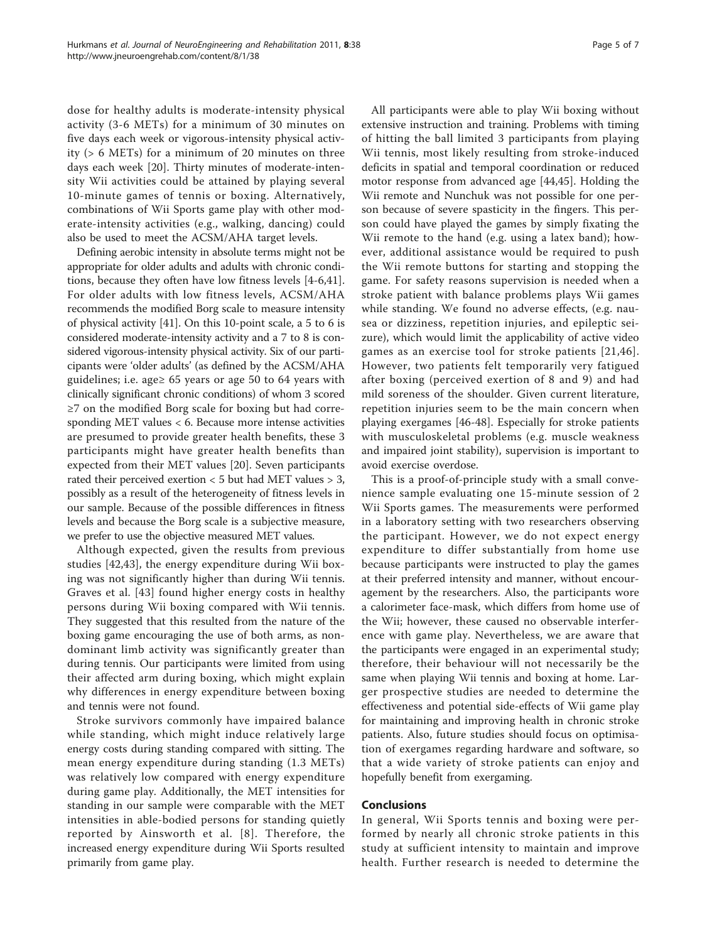dose for healthy adults is moderate-intensity physical activity (3-6 METs) for a minimum of 30 minutes on five days each week or vigorous-intensity physical activity (> 6 METs) for a minimum of 20 minutes on three days each week [\[20](#page-5-0)]. Thirty minutes of moderate-intensity Wii activities could be attained by playing several 10-minute games of tennis or boxing. Alternatively, combinations of Wii Sports game play with other moderate-intensity activities (e.g., walking, dancing) could also be used to meet the ACSM/AHA target levels.

Defining aerobic intensity in absolute terms might not be appropriate for older adults and adults with chronic conditions, because they often have low fitness levels [\[4-6](#page-5-0)[,41](#page-6-0)]. For older adults with low fitness levels, ACSM/AHA recommends the modified Borg scale to measure intensity of physical activity [\[41](#page-6-0)]. On this 10-point scale, a 5 to 6 is considered moderate-intensity activity and a 7 to 8 is considered vigorous-intensity physical activity. Six of our participants were 'older adults' (as defined by the ACSM/AHA guidelines; i.e. age≥ 65 years or age 50 to 64 years with clinically significant chronic conditions) of whom 3 scored ≥7 on the modified Borg scale for boxing but had corresponding MET values < 6. Because more intense activities are presumed to provide greater health benefits, these 3 participants might have greater health benefits than expected from their MET values [[20\]](#page-5-0). Seven participants rated their perceived exertion < 5 but had MET values > 3, possibly as a result of the heterogeneity of fitness levels in our sample. Because of the possible differences in fitness levels and because the Borg scale is a subjective measure, we prefer to use the objective measured MET values.

Although expected, given the results from previous studies [[42,43\]](#page-6-0), the energy expenditure during Wii boxing was not significantly higher than during Wii tennis. Graves et al. [[43](#page-6-0)] found higher energy costs in healthy persons during Wii boxing compared with Wii tennis. They suggested that this resulted from the nature of the boxing game encouraging the use of both arms, as nondominant limb activity was significantly greater than during tennis. Our participants were limited from using their affected arm during boxing, which might explain why differences in energy expenditure between boxing and tennis were not found.

Stroke survivors commonly have impaired balance while standing, which might induce relatively large energy costs during standing compared with sitting. The mean energy expenditure during standing (1.3 METs) was relatively low compared with energy expenditure during game play. Additionally, the MET intensities for standing in our sample were comparable with the MET intensities in able-bodied persons for standing quietly reported by Ainsworth et al. [[8](#page-5-0)]. Therefore, the increased energy expenditure during Wii Sports resulted primarily from game play.

All participants were able to play Wii boxing without extensive instruction and training. Problems with timing of hitting the ball limited 3 participants from playing Wii tennis, most likely resulting from stroke-induced deficits in spatial and temporal coordination or reduced motor response from advanced age [\[44,45](#page-6-0)]. Holding the Wii remote and Nunchuk was not possible for one person because of severe spasticity in the fingers. This person could have played the games by simply fixating the Wii remote to the hand (e.g. using a latex band); however, additional assistance would be required to push the Wii remote buttons for starting and stopping the game. For safety reasons supervision is needed when a stroke patient with balance problems plays Wii games while standing. We found no adverse effects, (e.g. nausea or dizziness, repetition injuries, and epileptic seizure), which would limit the applicability of active video games as an exercise tool for stroke patients [[21](#page-5-0),[46\]](#page-6-0). However, two patients felt temporarily very fatigued after boxing (perceived exertion of 8 and 9) and had mild soreness of the shoulder. Given current literature, repetition injuries seem to be the main concern when playing exergames [\[46-48](#page-6-0)]. Especially for stroke patients with musculoskeletal problems (e.g. muscle weakness and impaired joint stability), supervision is important to avoid exercise overdose.

This is a proof-of-principle study with a small convenience sample evaluating one 15-minute session of 2 Wii Sports games. The measurements were performed in a laboratory setting with two researchers observing the participant. However, we do not expect energy expenditure to differ substantially from home use because participants were instructed to play the games at their preferred intensity and manner, without encouragement by the researchers. Also, the participants wore a calorimeter face-mask, which differs from home use of the Wii; however, these caused no observable interference with game play. Nevertheless, we are aware that the participants were engaged in an experimental study; therefore, their behaviour will not necessarily be the same when playing Wii tennis and boxing at home. Larger prospective studies are needed to determine the effectiveness and potential side-effects of Wii game play for maintaining and improving health in chronic stroke patients. Also, future studies should focus on optimisation of exergames regarding hardware and software, so that a wide variety of stroke patients can enjoy and hopefully benefit from exergaming.

# Conclusions

In general, Wii Sports tennis and boxing were performed by nearly all chronic stroke patients in this study at sufficient intensity to maintain and improve health. Further research is needed to determine the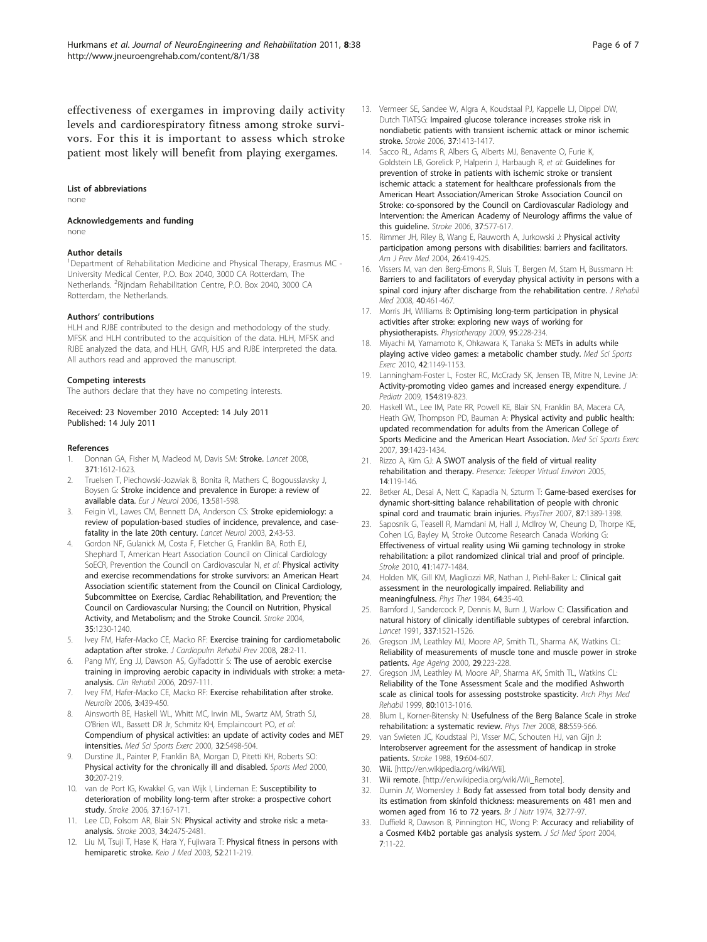<span id="page-5-0"></span>effectiveness of exergames in improving daily activity levels and cardiorespiratory fitness among stroke survivors. For this it is important to assess which stroke patient most likely will benefit from playing exergames.

#### List of abbreviations

none

#### Acknowledgements and funding none

# Author details

<sup>1</sup>Department of Rehabilitation Medicine and Physical Therapy, Erasmus MC -University Medical Center, P.O. Box 2040, 3000 CA Rotterdam, The Netherlands. <sup>2</sup>Rijndam Rehabilitation Centre, P.O. Box 2040, 3000 CA Rotterdam, the Netherlands.

#### Authors' contributions

HLH and RJBE contributed to the design and methodology of the study. MFSK and HLH contributed to the acquisition of the data. HLH, MFSK and RJBE analyzed the data, and HLH, GMR, HJS and RJBE interpreted the data. All authors read and approved the manuscript.

#### Competing interests

The authors declare that they have no competing interests.

## Received: 23 November 2010 Accepted: 14 July 2011 Published: 14 July 2011

#### References

- 1. Donnan GA, Fisher M, Macleod M, Davis SM: [Stroke.](http://www.ncbi.nlm.nih.gov/pubmed/18468545?dopt=Abstract) Lancet 2008, 371:1612-1623.
- 2. Truelsen T, Piechowski-Jozwiak B, Bonita R, Mathers C, Bogousslavsky J, Boysen G: [Stroke incidence and prevalence in Europe: a review of](http://www.ncbi.nlm.nih.gov/pubmed/16796582?dopt=Abstract) [available data.](http://www.ncbi.nlm.nih.gov/pubmed/16796582?dopt=Abstract) Eur J Neurol 2006, 13:581-598.
- Feigin VL, Lawes CM, Bennett DA, Anderson CS: [Stroke epidemiology: a](http://www.ncbi.nlm.nih.gov/pubmed/12849300?dopt=Abstract) [review of population-based studies of incidence, prevalence, and case](http://www.ncbi.nlm.nih.gov/pubmed/12849300?dopt=Abstract)[fatality in the late 20th century.](http://www.ncbi.nlm.nih.gov/pubmed/12849300?dopt=Abstract) Lancet Neurol 2003, 2:43-53.
- 4. Gordon NF, Gulanick M, Costa F, Fletcher G, Franklin BA, Roth EJ, Shephard T, American Heart Association Council on Clinical Cardiology SoECR, Prevention the Council on Cardiovascular N, et al: [Physical activity](http://www.ncbi.nlm.nih.gov/pubmed/15105522?dopt=Abstract) [and exercise recommendations for stroke survivors: an American Heart](http://www.ncbi.nlm.nih.gov/pubmed/15105522?dopt=Abstract) [Association scientific statement from the Council on Clinical Cardiology,](http://www.ncbi.nlm.nih.gov/pubmed/15105522?dopt=Abstract) [Subcommittee on Exercise, Cardiac Rehabilitation, and Prevention; the](http://www.ncbi.nlm.nih.gov/pubmed/15105522?dopt=Abstract) [Council on Cardiovascular Nursing; the Council on Nutrition, Physical](http://www.ncbi.nlm.nih.gov/pubmed/15105522?dopt=Abstract) [Activity, and Metabolism; and the Stroke Council.](http://www.ncbi.nlm.nih.gov/pubmed/15105522?dopt=Abstract) Stroke 2004, 35:1230-1240.
- Ivey FM, Hafer-Macko CE, Macko RF: [Exercise training for cardiometabolic](http://www.ncbi.nlm.nih.gov/pubmed/18277823?dopt=Abstract) [adaptation after stroke.](http://www.ncbi.nlm.nih.gov/pubmed/18277823?dopt=Abstract) J Cardiopulm Rehabil Prev 2008, 28:2-11.
- 6. Pang MY, Eng JJ, Dawson AS, Gylfadottir S: [The use of aerobic exercise](http://www.ncbi.nlm.nih.gov/pubmed/16541930?dopt=Abstract) [training in improving aerobic capacity in individuals with stroke: a meta](http://www.ncbi.nlm.nih.gov/pubmed/16541930?dopt=Abstract)[analysis.](http://www.ncbi.nlm.nih.gov/pubmed/16541930?dopt=Abstract) Clin Rehabil 2006, 20:97-111.
- 7. Ivey FM, Hafer-Macko CE, Macko RF: [Exercise rehabilitation after stroke.](http://www.ncbi.nlm.nih.gov/pubmed/17012057?dopt=Abstract) NeuroRx 2006, 3:439-450.
- 8. Ainsworth BE, Haskell WL, Whitt MC, Irwin ML, Swartz AM, Strath SJ, O'Brien WL, Bassett DR Jr, Schmitz KH, Emplaincourt PO, et al: [Compendium of physical activities: an update of activity codes and MET](http://www.ncbi.nlm.nih.gov/pubmed/10993420?dopt=Abstract) [intensities.](http://www.ncbi.nlm.nih.gov/pubmed/10993420?dopt=Abstract) Med Sci Sports Exerc 2000, 32:S498-504.
- 9. Durstine JL, Painter P, Franklin BA, Morgan D, Pitetti KH, Roberts SO: [Physical activity for the chronically ill and disabled.](http://www.ncbi.nlm.nih.gov/pubmed/10999424?dopt=Abstract) Sports Med 2000, 30:207-219.
- 10. van de Port IG, Kwakkel G, van Wijk I, Lindeman E: [Susceptibility to](http://www.ncbi.nlm.nih.gov/pubmed/16322486?dopt=Abstract) [deterioration of mobility long-term after stroke: a prospective cohort](http://www.ncbi.nlm.nih.gov/pubmed/16322486?dopt=Abstract) [study.](http://www.ncbi.nlm.nih.gov/pubmed/16322486?dopt=Abstract) Stroke 2006, 37:167-171.
- 11. Lee CD, Folsom AR, Blair SN: [Physical activity and stroke risk: a meta](http://www.ncbi.nlm.nih.gov/pubmed/14500932?dopt=Abstract)[analysis.](http://www.ncbi.nlm.nih.gov/pubmed/14500932?dopt=Abstract) Stroke 2003, 34:2475-2481.
- 12. Liu M, Tsuji T, Hase K, Hara Y, Fujiwara T: [Physical fitness in persons with](http://www.ncbi.nlm.nih.gov/pubmed/14748473?dopt=Abstract) [hemiparetic stroke.](http://www.ncbi.nlm.nih.gov/pubmed/14748473?dopt=Abstract) Keio J Med 2003, 52:211-219.
- 13. Vermeer SE, Sandee W, Algra A, Koudstaal PJ, Kappelle LJ, Dippel DW, Dutch TIATSG: [Impaired glucose tolerance increases stroke risk in](http://www.ncbi.nlm.nih.gov/pubmed/16627787?dopt=Abstract) [nondiabetic patients with transient ischemic attack or minor ischemic](http://www.ncbi.nlm.nih.gov/pubmed/16627787?dopt=Abstract) [stroke.](http://www.ncbi.nlm.nih.gov/pubmed/16627787?dopt=Abstract) Stroke 2006, 37:1413-1417.
- 14. Sacco RL, Adams R, Albers G, Alberts MJ, Benavente O, Furie K, Goldstein LB, Gorelick P, Halperin J, Harbaugh R, et al: [Guidelines for](http://www.ncbi.nlm.nih.gov/pubmed/16432246?dopt=Abstract) [prevention of stroke in patients with ischemic stroke or transient](http://www.ncbi.nlm.nih.gov/pubmed/16432246?dopt=Abstract) [ischemic attack: a statement for healthcare professionals from the](http://www.ncbi.nlm.nih.gov/pubmed/16432246?dopt=Abstract) [American Heart Association/American Stroke Association Council on](http://www.ncbi.nlm.nih.gov/pubmed/16432246?dopt=Abstract) [Stroke: co-sponsored by the Council on Cardiovascular Radiology and](http://www.ncbi.nlm.nih.gov/pubmed/16432246?dopt=Abstract) [Intervention: the American Academy of Neurology affirms the value of](http://www.ncbi.nlm.nih.gov/pubmed/16432246?dopt=Abstract) [this guideline.](http://www.ncbi.nlm.nih.gov/pubmed/16432246?dopt=Abstract) Stroke 2006, 37:577-617.
- 15. Rimmer JH, Riley B, Wang E, Rauworth A, Jurkowski J: [Physical activity](http://www.ncbi.nlm.nih.gov/pubmed/15165658?dopt=Abstract) [participation among persons with disabilities: barriers and facilitators.](http://www.ncbi.nlm.nih.gov/pubmed/15165658?dopt=Abstract) Am J Prev Med 2004, 26:419-425.
- 16. Vissers M, van den Berg-Emons R, Sluis T, Bergen M, Stam H, Bussmann H: [Barriers to and facilitators of everyday physical activity in persons with a](http://www.ncbi.nlm.nih.gov/pubmed/18509562?dopt=Abstract) [spinal cord injury after discharge from the rehabilitation centre.](http://www.ncbi.nlm.nih.gov/pubmed/18509562?dopt=Abstract) J Rehabil Med 2008, 40:461-467
- 17. Morris JH, Williams B: [Optimising long-term participation in physical](http://www.ncbi.nlm.nih.gov/pubmed/19635344?dopt=Abstract) [activities after stroke: exploring new ways of working for](http://www.ncbi.nlm.nih.gov/pubmed/19635344?dopt=Abstract) [physiotherapists.](http://www.ncbi.nlm.nih.gov/pubmed/19635344?dopt=Abstract) Physiotherapy 2009, 95:228-234.
- 18. Miyachi M, Yamamoto K, Ohkawara K, Tanaka S: [METs in adults while](http://www.ncbi.nlm.nih.gov/pubmed/19997034?dopt=Abstract) [playing active video games: a metabolic chamber study.](http://www.ncbi.nlm.nih.gov/pubmed/19997034?dopt=Abstract) Med Sci Sports Exerc 2010, 42:1149-1153.
- 19. Lanningham-Foster L, Foster RC, McCrady SK, Jensen TB, Mitre N, Levine JA: [Activity-promoting video games and increased energy expenditure.](http://www.ncbi.nlm.nih.gov/pubmed/19324368?dopt=Abstract) J Pediatr 2009, 154:819-823.
- 20. Haskell WL, Lee IM, Pate RR, Powell KE, Blair SN, Franklin BA, Macera CA, Heath GW, Thompson PD, Bauman A: [Physical activity and public health:](http://www.ncbi.nlm.nih.gov/pubmed/17762377?dopt=Abstract) [updated recommendation for adults from the American College of](http://www.ncbi.nlm.nih.gov/pubmed/17762377?dopt=Abstract) [Sports Medicine and the American Heart Association.](http://www.ncbi.nlm.nih.gov/pubmed/17762377?dopt=Abstract) Med Sci Sports Exerc 2007, 39:1423-1434.
- 21. Rizzo A, Kim GJ: A SWOT analysis of the field of virtual reality rehabilitation and therapy. Presence: Teleoper Virtual Environ 2005, 14:119-146.
- 22. Betker AL, Desai A, Nett C, Kapadia N, Szturm T: [Game-based exercises for](http://www.ncbi.nlm.nih.gov/pubmed/17712036?dopt=Abstract) [dynamic short-sitting balance rehabilitation of people with chronic](http://www.ncbi.nlm.nih.gov/pubmed/17712036?dopt=Abstract) [spinal cord and traumatic brain injuries.](http://www.ncbi.nlm.nih.gov/pubmed/17712036?dopt=Abstract) PhysTher 2007, 87:1389-1398.
- 23. Saposnik G, Teasell R, Mamdani M, Hall J, McIlroy W, Cheung D, Thorpe KE, Cohen LG, Bayley M, Stroke Outcome Research Canada Working G: [Effectiveness of virtual reality using Wii gaming technology in stroke](http://www.ncbi.nlm.nih.gov/pubmed/20508185?dopt=Abstract) [rehabilitation: a pilot randomized clinical trial and proof of principle.](http://www.ncbi.nlm.nih.gov/pubmed/20508185?dopt=Abstract) Stroke 2010, 41:1477-1484.
- 24. Holden MK, Gill KM, Magliozzi MR, Nathan J, Piehl-Baker L: [Clinical gait](http://www.ncbi.nlm.nih.gov/pubmed/6691052?dopt=Abstract) [assessment in the neurologically impaired. Reliability and](http://www.ncbi.nlm.nih.gov/pubmed/6691052?dopt=Abstract) [meaningfulness.](http://www.ncbi.nlm.nih.gov/pubmed/6691052?dopt=Abstract) Phys Ther 1984, 64:35-40.
- 25. Bamford J, Sandercock P, Dennis M, Burn J, Warlow C: [Classification and](http://www.ncbi.nlm.nih.gov/pubmed/1675378?dopt=Abstract) [natural history of clinically identifiable subtypes of cerebral infarction.](http://www.ncbi.nlm.nih.gov/pubmed/1675378?dopt=Abstract) Lancet 1991, 337:1521-1526.
- 26. Gregson JM, Leathley MJ, Moore AP, Smith TL, Sharma AK, Watkins CL: [Reliability of measurements of muscle tone and muscle power in stroke](http://www.ncbi.nlm.nih.gov/pubmed/10855904?dopt=Abstract) [patients.](http://www.ncbi.nlm.nih.gov/pubmed/10855904?dopt=Abstract) Age Ageing 2000, 29:223-228.
- 27. Gregson JM, Leathley M, Moore AP, Sharma AK, Smith TL, Watkins CL: [Reliability of the Tone Assessment Scale and the modified Ashworth](http://www.ncbi.nlm.nih.gov/pubmed/10489001?dopt=Abstract) [scale as clinical tools for assessing poststroke spasticity.](http://www.ncbi.nlm.nih.gov/pubmed/10489001?dopt=Abstract) Arch Phys Med Rehabil 1999, 80:1013-1016.
- 28. Blum L, Korner-Bitensky N: [Usefulness of the Berg Balance Scale in stroke](http://www.ncbi.nlm.nih.gov/pubmed/18292215?dopt=Abstract) [rehabilitation: a systematic review.](http://www.ncbi.nlm.nih.gov/pubmed/18292215?dopt=Abstract) Phys Ther 2008, 88:559-566.
- 29. van Swieten JC, Koudstaal PJ, Visser MC, Schouten HJ, van Gijn J: [Interobserver agreement for the assessment of handicap in stroke](http://www.ncbi.nlm.nih.gov/pubmed/3363593?dopt=Abstract) [patients.](http://www.ncbi.nlm.nih.gov/pubmed/3363593?dopt=Abstract) Stroke 1988, 19:604-607.
- 30. Wii. [<http://en.wikipedia.org/wiki/Wii>].
- 31. Wii remote. [\[http://en.wikipedia.org/wiki/Wii\\_Remote](http://en.wikipedia.org/wiki/Wii_Remote)].
- 32. Durnin JV, Womersley J: [Body fat assessed from total body density and](http://www.ncbi.nlm.nih.gov/pubmed/4843734?dopt=Abstract) [its estimation from skinfold thickness: measurements on 481 men and](http://www.ncbi.nlm.nih.gov/pubmed/4843734?dopt=Abstract) [women aged from 16 to 72 years.](http://www.ncbi.nlm.nih.gov/pubmed/4843734?dopt=Abstract) Br J Nutr 1974, 32:77-97.
- 33. Duffield R, Dawson B, Pinnington HC, Wong P: [Accuracy and reliability of](http://www.ncbi.nlm.nih.gov/pubmed/15139160?dopt=Abstract) [a Cosmed K4b2 portable gas analysis system.](http://www.ncbi.nlm.nih.gov/pubmed/15139160?dopt=Abstract) J Sci Med Sport 2004, 7:11-22.